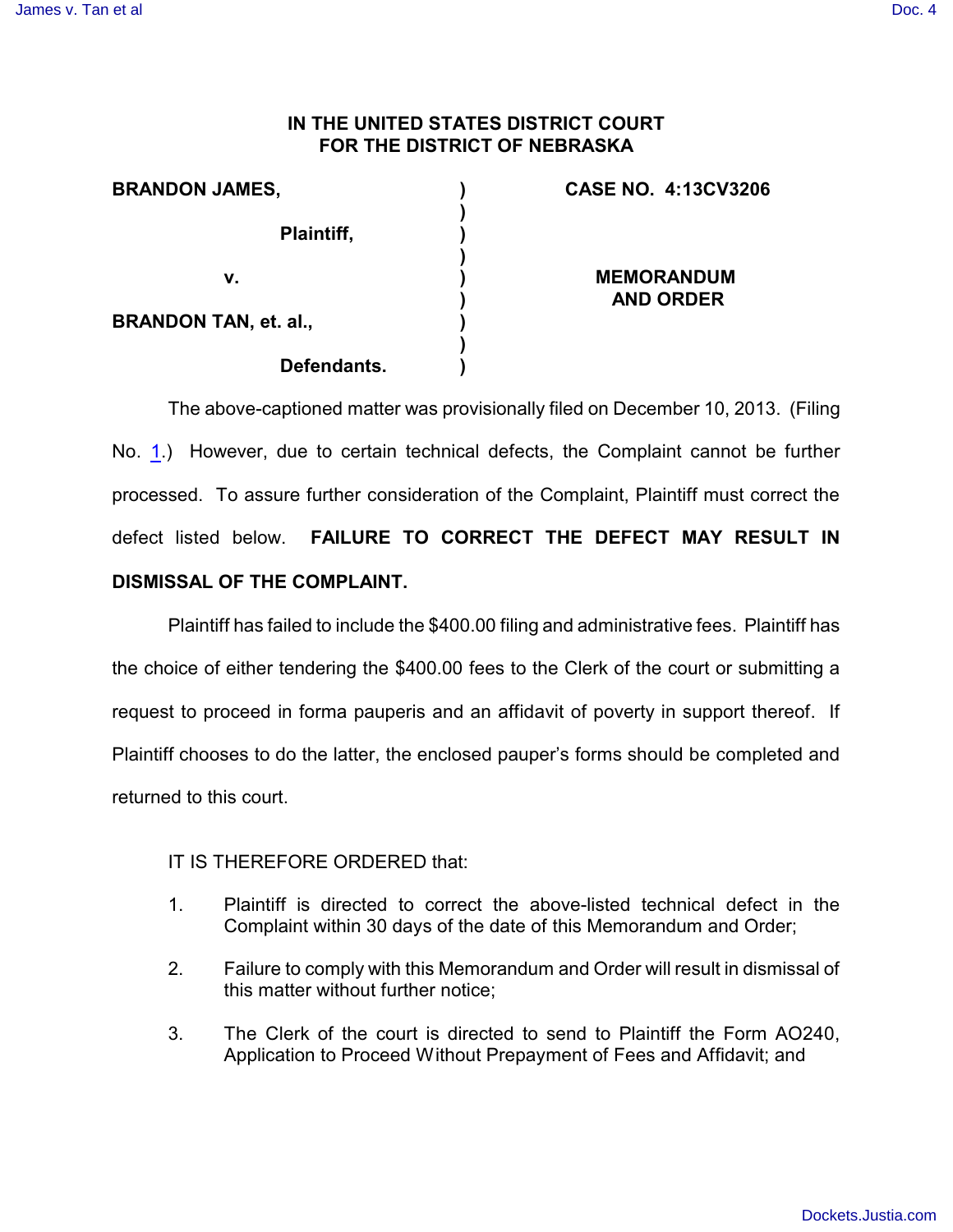## **IN THE UNITED STATES DISTRICT COURT FOR THE DISTRICT OF NEBRASKA**

| <b>BRANDON JAMES,</b>        | <b>CASE NO. 4:13CV3206</b>            |
|------------------------------|---------------------------------------|
| Plaintiff,                   |                                       |
| v.                           | <b>MEMORANDUM</b><br><b>AND ORDER</b> |
| <b>BRANDON TAN, et. al.,</b> |                                       |
| Defendants.                  |                                       |

The above-captioned matter was provisionally filed on December 10, 2013. (Filing No. [1](http://ecf.ned.uscourts.gov/doc1/11302923221).) However, due to certain technical defects, the Complaint cannot be further processed. To assure further consideration of the Complaint, Plaintiff must correct the defect listed below. **FAILURE TO CORRECT THE DEFECT MAY RESULT IN DISMISSAL OF THE COMPLAINT.** 

Plaintiff has failed to include the \$400.00 filing and administrative fees. Plaintiff has the choice of either tendering the \$400.00 fees to the Clerk of the court or submitting a request to proceed in forma pauperis and an affidavit of poverty in support thereof. If Plaintiff chooses to do the latter, the enclosed pauper's forms should be completed and returned to this court.

IT IS THEREFORE ORDERED that:

- 1. Plaintiff is directed to correct the above-listed technical defect in the Complaint within 30 days of the date of this Memorandum and Order;
- 2. Failure to comply with this Memorandum and Order will result in dismissal of this matter without further notice;
- 3. The Clerk of the court is directed to send to Plaintiff the Form AO240, Application to Proceed Without Prepayment of Fees and Affidavit; and